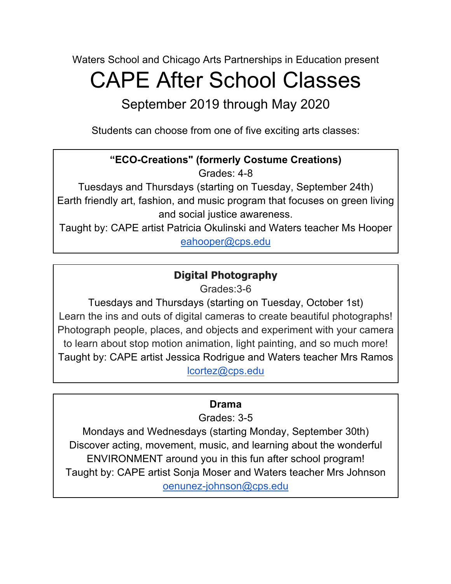Waters School and Chicago Arts Partnerships in Education present

# CAPE After School Classes

September 2019 through May 2020

Students can choose from one of five exciting arts classes:

## **"ECO-Creations" (formerly Costume Creations)**

Grades: 4-8

Tuesdays and Thursdays (starting on Tuesday, September 24th) Earth friendly art, fashion, and music program that focuses on green living and social justice awareness.

Taught by: CAPE artist Patricia Okulinski and Waters teacher Ms Hooper eahooper@cps.edu

### **Digital Photography**

Grades:3-6

Tuesdays and Thursdays (starting on Tuesday, October 1st) Learn the ins and outs of digital cameras to create beautiful photographs! Photograph people, places, and objects and experiment with your camera to learn about stop motion animation, light painting, and so much more! Taught by: CAPE artist Jessica Rodrigue and Waters teacher Mrs Ramos lcortez@cps.edu

#### **Drama**

Grades: 3-5

Mondays and Wednesdays (starting Monday, September 30th) Discover acting, movement, music, and learning about the wonderful ENVIRONMENT around you in this fun after school program! Taught by: CAPE artist Sonja Moser and Waters teacher Mrs Johnson oenunez-johnson@cps.edu